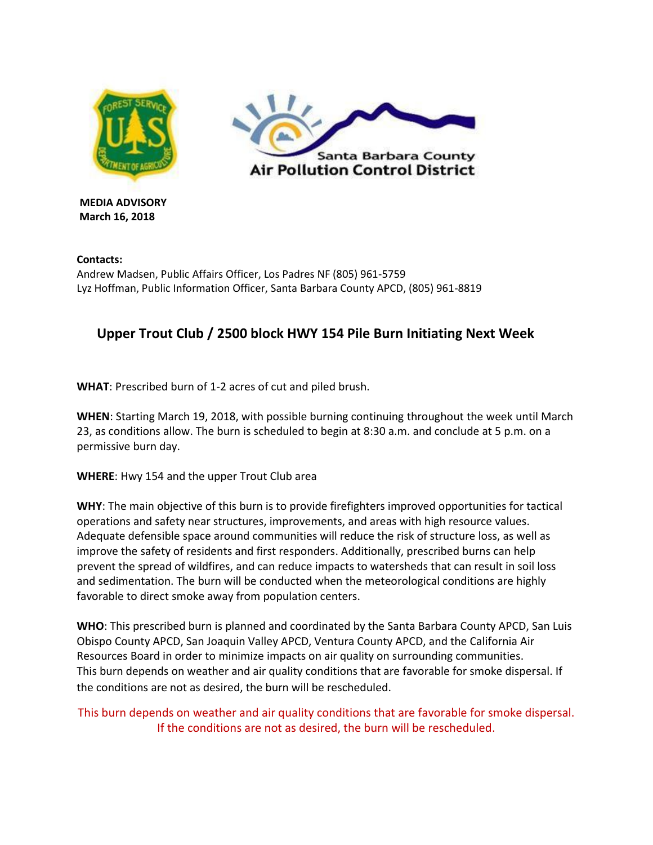



**MEDIA ADVISORY March 16, 2018** 

**Contacts:**  Andrew Madsen, Public Affairs Officer, Los Padres NF (805) 961-5759 Lyz Hoffman, Public Information Officer, Santa Barbara County APCD, (805) 961-8819

## **Upper Trout Club / 2500 block HWY 154 Pile Burn Initiating Next Week**

**WHAT**: Prescribed burn of 1-2 acres of cut and piled brush.

**WHEN**: Starting March 19, 2018, with possible burning continuing throughout the week until March 23, as conditions allow. The burn is scheduled to begin at 8:30 a.m. and conclude at 5 p.m. on a permissive burn day.

**WHERE**: Hwy 154 and the upper Trout Club area

**WHY**: The main objective of this burn is to provide firefighters improved opportunities for tactical operations and safety near structures, improvements, and areas with high resource values. Adequate defensible space around communities will reduce the risk of structure loss, as well as improve the safety of residents and first responders. Additionally, prescribed burns can help prevent the spread of wildfires, and can reduce impacts to watersheds that can result in soil loss and sedimentation. The burn will be conducted when the meteorological conditions are highly favorable to direct smoke away from population centers.

**WHO**: This prescribed burn is planned and coordinated by the Santa Barbara County APCD, San Luis Obispo County APCD, San Joaquin Valley APCD, Ventura County APCD, and the California Air Resources Board in order to minimize impacts on air quality on surrounding communities. This burn depends on weather and air quality conditions that are favorable for smoke dispersal. If the conditions are not as desired, the burn will be rescheduled.

This burn depends on weather and air quality conditions that are favorable for smoke dispersal. If the conditions are not as desired, the burn will be rescheduled.